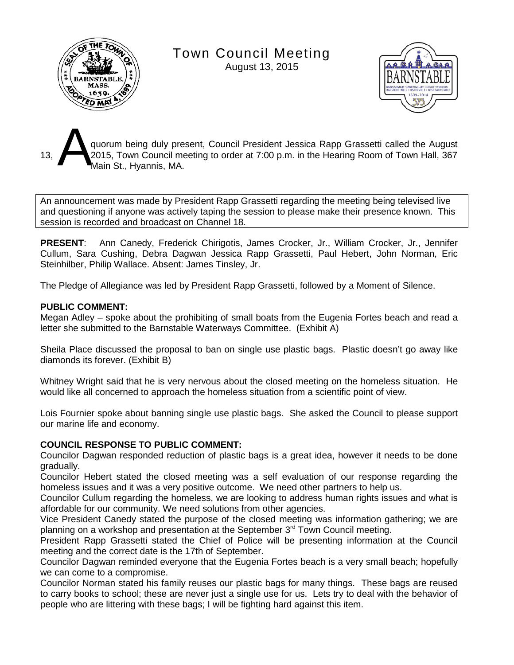

Town Council Meeting

August 13, 2015



quorum being duly present, Council President Jessica Rapp Grassetti called the August 2015, Town Council meeting to order at 7:00 p.m. in the Hearing Room of Town Hall, 367 Main St., Hyannis, MA. A

An announcement was made by President Rapp Grassetti regarding the meeting being televised live and questioning if anyone was actively taping the session to please make their presence known. This session is recorded and broadcast on Channel 18.

**PRESENT**: Ann Canedy, Frederick Chirigotis, James Crocker, Jr., William Crocker, Jr., Jennifer Cullum, Sara Cushing, Debra Dagwan Jessica Rapp Grassetti, Paul Hebert, John Norman, Eric Steinhilber, Philip Wallace. Absent: James Tinsley, Jr.

The Pledge of Allegiance was led by President Rapp Grassetti, followed by a Moment of Silence.

## **PUBLIC COMMENT:**

Megan Adley – spoke about the prohibiting of small boats from the Eugenia Fortes beach and read a letter she submitted to the Barnstable Waterways Committee. (Exhibit A)

Sheila Place discussed the proposal to ban on single use plastic bags. Plastic doesn't go away like diamonds its forever. (Exhibit B)

Whitney Wright said that he is very nervous about the closed meeting on the homeless situation. He would like all concerned to approach the homeless situation from a scientific point of view.

Lois Fournier spoke about banning single use plastic bags. She asked the Council to please support our marine life and economy.

## **COUNCIL RESPONSE TO PUBLIC COMMENT:**

Councilor Dagwan responded reduction of plastic bags is a great idea, however it needs to be done gradually.

Councilor Hebert stated the closed meeting was a self evaluation of our response regarding the homeless issues and it was a very positive outcome. We need other partners to help us.

Councilor Cullum regarding the homeless, we are looking to address human rights issues and what is affordable for our community. We need solutions from other agencies.

Vice President Canedy stated the purpose of the closed meeting was information gathering; we are planning on a workshop and presentation at the September 3<sup>rd</sup> Town Council meeting.

President Rapp Grassetti stated the Chief of Police will be presenting information at the Council meeting and the correct date is the 17th of September.

Councilor Dagwan reminded everyone that the Eugenia Fortes beach is a very small beach; hopefully we can come to a compromise.

Councilor Norman stated his family reuses our plastic bags for many things. These bags are reused to carry books to school; these are never just a single use for us. Lets try to deal with the behavior of people who are littering with these bags; I will be fighting hard against this item.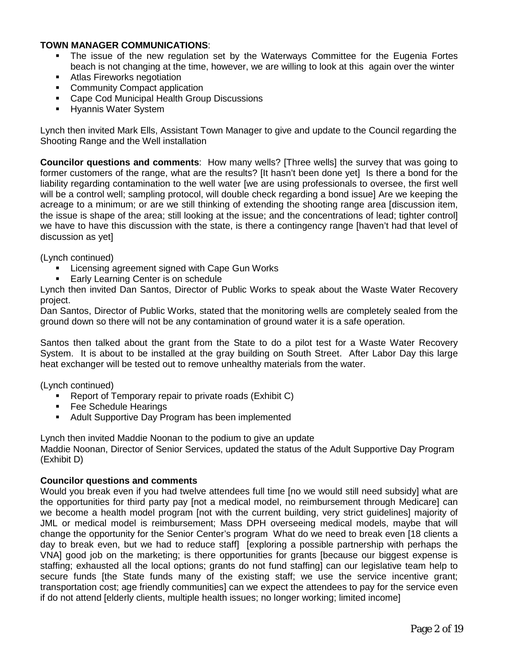## **TOWN MANAGER COMMUNICATIONS**:

- The issue of the new regulation set by the Waterways Committee for the Eugenia Fortes beach is not changing at the time, however, we are willing to look at this again over the winter
- **Atlas Fireworks negotiation**
- Community Compact application
- **Cape Cod Municipal Health Group Discussions**
- **Hyannis Water System**

Lynch then invited Mark Ells, Assistant Town Manager to give and update to the Council regarding the Shooting Range and the Well installation

**Councilor questions and comments**: How many wells? [Three wells] the survey that was going to former customers of the range, what are the results? [It hasn't been done yet] Is there a bond for the liability regarding contamination to the well water [we are using professionals to oversee, the first well will be a control well; sampling protocol, will double check regarding a bond issue] Are we keeping the acreage to a minimum; or are we still thinking of extending the shooting range area [discussion item, the issue is shape of the area; still looking at the issue; and the concentrations of lead; tighter control] we have to have this discussion with the state, is there a contingency range [haven't had that level of discussion as yet]

(Lynch continued)

- **EXECT:** Licensing agreement signed with Cape Gun Works
- Early Learning Center is on schedule

Lynch then invited Dan Santos, Director of Public Works to speak about the Waste Water Recovery project.

Dan Santos, Director of Public Works, stated that the monitoring wells are completely sealed from the ground down so there will not be any contamination of ground water it is a safe operation.

Santos then talked about the grant from the State to do a pilot test for a Waste Water Recovery System. It is about to be installed at the gray building on South Street. After Labor Day this large heat exchanger will be tested out to remove unhealthy materials from the water.

(Lynch continued)

- Report of Temporary repair to private roads (Exhibit C)
- **Fee Schedule Hearings**
- **Adult Supportive Day Program has been implemented**

Lynch then invited Maddie Noonan to the podium to give an update Maddie Noonan, Director of Senior Services, updated the status of the Adult Supportive Day Program (Exhibit D)

#### **Councilor questions and comments**

Would you break even if you had twelve attendees full time [no we would still need subsidy] what are the opportunities for third party pay [not a medical model, no reimbursement through Medicare] can we become a health model program [not with the current building, very strict guidelines] majority of JML or medical model is reimbursement; Mass DPH overseeing medical models, maybe that will change the opportunity for the Senior Center's program What do we need to break even [18 clients a day to break even, but we had to reduce staff] [exploring a possible partnership with perhaps the VNA] good job on the marketing; is there opportunities for grants [because our biggest expense is staffing; exhausted all the local options; grants do not fund staffing] can our legislative team help to secure funds [the State funds many of the existing staff; we use the service incentive grant; transportation cost; age friendly communities] can we expect the attendees to pay for the service even if do not attend [elderly clients, multiple health issues; no longer working; limited income]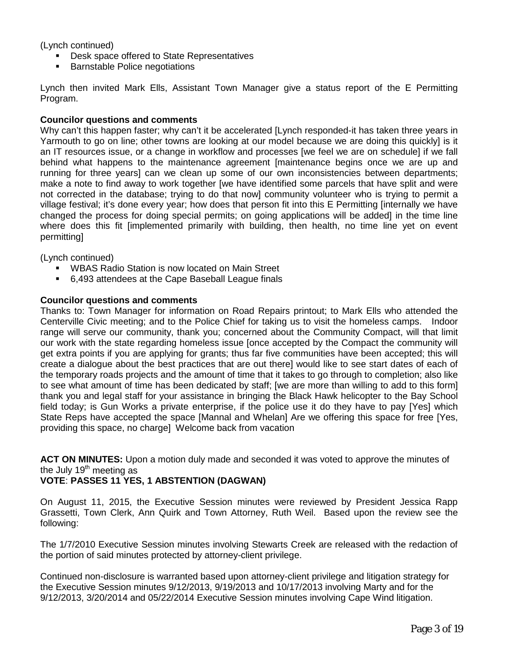(Lynch continued)

- **Desk space offered to State Representatives**
- Barnstable Police negotiations

Lynch then invited Mark Ells, Assistant Town Manager give a status report of the E Permitting Program.

#### **Councilor questions and comments**

Why can't this happen faster; why can't it be accelerated [Lynch responded-it has taken three years in Yarmouth to go on line; other towns are looking at our model because we are doing this quickly] is it an IT resources issue, or a change in workflow and processes [we feel we are on schedule] if we fall behind what happens to the maintenance agreement [maintenance begins once we are up and running for three years] can we clean up some of our own inconsistencies between departments; make a note to find away to work together [we have identified some parcels that have split and were not corrected in the database; trying to do that now] community volunteer who is trying to permit a village festival; it's done every year; how does that person fit into this E Permitting [internally we have changed the process for doing special permits; on going applications will be added] in the time line where does this fit [implemented primarily with building, then health, no time line yet on event permitting]

(Lynch continued)

- **WBAS Radio Station is now located on Main Street**
- 6,493 attendees at the Cape Baseball League finals

#### **Councilor questions and comments**

Thanks to: Town Manager for information on Road Repairs printout; to Mark Ells who attended the Centerville Civic meeting; and to the Police Chief for taking us to visit the homeless camps. Indoor range will serve our community, thank you; concerned about the Community Compact, will that limit our work with the state regarding homeless issue [once accepted by the Compact the community will get extra points if you are applying for grants; thus far five communities have been accepted; this will create a dialogue about the best practices that are out there] would like to see start dates of each of the temporary roads projects and the amount of time that it takes to go through to completion; also like to see what amount of time has been dedicated by staff; [we are more than willing to add to this form] thank you and legal staff for your assistance in bringing the Black Hawk helicopter to the Bay School field today; is Gun Works a private enterprise, if the police use it do they have to pay [Yes] which State Reps have accepted the space [Mannal and Whelan] Are we offering this space for free [Yes, providing this space, no charge] Welcome back from vacation

**ACT ON MINUTES:** Upon a motion duly made and seconded it was voted to approve the minutes of the July 19<sup>th</sup> meeting as

#### **VOTE**: **PASSES 11 YES, 1 ABSTENTION (DAGWAN)**

On August 11, 2015, the Executive Session minutes were reviewed by President Jessica Rapp Grassetti, Town Clerk, Ann Quirk and Town Attorney, Ruth Weil. Based upon the review see the following:

The 1/7/2010 Executive Session minutes involving Stewarts Creek are released with the redaction of the portion of said minutes protected by attorney-client privilege.

Continued non-disclosure is warranted based upon attorney-client privilege and litigation strategy for the Executive Session minutes 9/12/2013, 9/19/2013 and 10/17/2013 involving Marty and for the 9/12/2013, 3/20/2014 and 05/22/2014 Executive Session minutes involving Cape Wind litigation.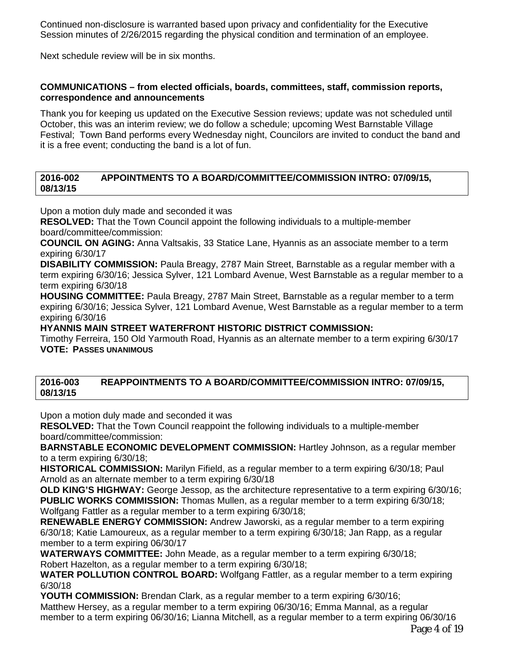Continued non-disclosure is warranted based upon privacy and confidentiality for the Executive Session minutes of 2/26/2015 regarding the physical condition and termination of an employee.

Next schedule review will be in six months.

## **COMMUNICATIONS – from elected officials, boards, committees, staff, commission reports, correspondence and announcements**

Thank you for keeping us updated on the Executive Session reviews; update was not scheduled until October, this was an interim review; we do follow a schedule; upcoming West Barnstable Village Festival; Town Band performs every Wednesday night, Councilors are invited to conduct the band and it is a free event; conducting the band is a lot of fun.

## **2016-002 APPOINTMENTS TO A BOARD/COMMITTEE/COMMISSION INTRO: 07/09/15, 08/13/15**

Upon a motion duly made and seconded it was

**RESOLVED:** That the Town Council appoint the following individuals to a multiple-member board/committee/commission:

**COUNCIL ON AGING:** Anna Valtsakis, 33 Statice Lane, Hyannis as an associate member to a term expiring 6/30/17

**DISABILITY COMMISSION:** Paula Breagy, 2787 Main Street, Barnstable as a regular member with a term expiring 6/30/16; Jessica Sylver, 121 Lombard Avenue, West Barnstable as a regular member to a term expiring 6/30/18

**HOUSING COMMITTEE:** Paula Breagy, 2787 Main Street, Barnstable as a regular member to a term expiring 6/30/16; Jessica Sylver, 121 Lombard Avenue, West Barnstable as a regular member to a term expiring 6/30/16

## **HYANNIS MAIN STREET WATERFRONT HISTORIC DISTRICT COMMISSION:**

Timothy Ferreira, 150 Old Yarmouth Road, Hyannis as an alternate member to a term expiring 6/30/17 **VOTE: PASSES UNANIMOUS**

#### **2016-003 REAPPOINTMENTS TO A BOARD/COMMITTEE/COMMISSION INTRO: 07/09/15, 08/13/15**

Upon a motion duly made and seconded it was

**RESOLVED:** That the Town Council reappoint the following individuals to a multiple-member board/committee/commission:

**BARNSTABLE ECONOMIC DEVELOPMENT COMMISSION:** Hartley Johnson, as a regular member to a term expiring 6/30/18;

**HISTORICAL COMMISSION:** Marilyn Fifield, as a regular member to a term expiring 6/30/18; Paul Arnold as an alternate member to a term expiring 6/30/18

**OLD KING'S HIGHWAY:** George Jessop, as the architecture representative to a term expiring 6/30/16; **PUBLIC WORKS COMMISSION:** Thomas Mullen, as a regular member to a term expiring 6/30/18; Wolfgang Fattler as a regular member to a term expiring 6/30/18;

**RENEWABLE ENERGY COMMISSION:** Andrew Jaworski, as a regular member to a term expiring 6/30/18; Katie Lamoureux, as a regular member to a term expiring 6/30/18; Jan Rapp, as a regular member to a term expiring 06/30/17

**WATERWAYS COMMITTEE:** John Meade, as a regular member to a term expiring 6/30/18; Robert Hazelton, as a regular member to a term expiring 6/30/18;

**WATER POLLUTION CONTROL BOARD:** Wolfgang Fattler, as a regular member to a term expiring 6/30/18

**YOUTH COMMISSION:** Brendan Clark, as a regular member to a term expiring 6/30/16; Matthew Hersey, as a regular member to a term expiring 06/30/16; Emma Mannal, as a regular member to a term expiring 06/30/16; Lianna Mitchell, as a regular member to a term expiring 06/30/16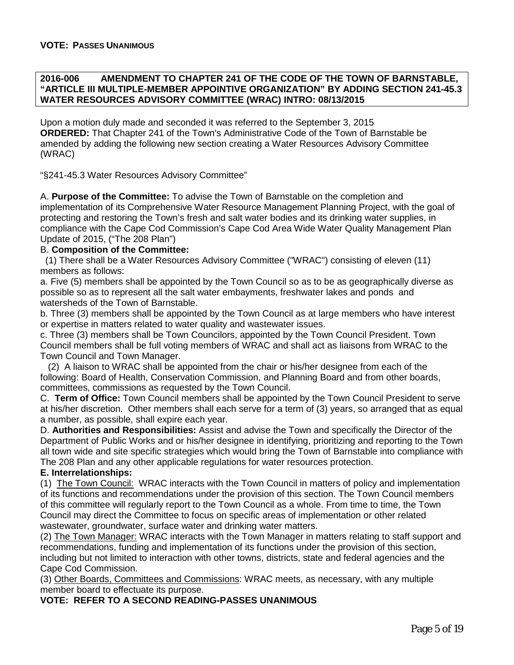#### **2016-006 AMENDMENT TO CHAPTER 241 OF THE CODE OF THE TOWN OF BARNSTABLE, "ARTICLE III MULTIPLE-MEMBER APPOINTIVE ORGANIZATION" BY ADDING SECTION 241-45.3 WATER RESOURCES ADVISORY COMMITTEE (WRAC) INTRO: 08/13/2015**

Upon a motion duly made and seconded it was referred to the September 3, 2015 **ORDERED:** That Chapter 241 of the Town's Administrative Code of the Town of Barnstable be amended by adding the following new section creating a Water Resources Advisory Committee (WRAC)

"§241-45.3 Water Resources Advisory Committee"

A. **Purpose of the Committee:** To advise the Town of Barnstable on the completion and implementation of its Comprehensive Water Resource Management Planning Project, with the goal of protecting and restoring the Town's fresh and salt water bodies and its drinking water supplies, in compliance with the Cape Cod Commission's Cape Cod Area Wide Water Quality Management Plan Update of 2015, ("The 208 Plan")

#### B. **Composition of the Committee:**

 (1) There shall be a Water Resources Advisory Committee ("WRAC") consisting of eleven (11) members as follows:

a. Five (5) members shall be appointed by the Town Council so as to be as geographically diverse as possible so as to represent all the salt water embayments, freshwater lakes and ponds and watersheds of the Town of Barnstable.

b. Three (3) members shall be appointed by the Town Council as at large members who have interest or expertise in matters related to water quality and wastewater issues.

c. Three (3) members shall be Town Councilors, appointed by the Town Council President. Town Council members shall be full voting members of WRAC and shall act as liaisons from WRAC to the Town Council and Town Manager.

 (2) A liaison to WRAC shall be appointed from the chair or his/her designee from each of the following: Board of Health, Conservation Commission, and Planning Board and from other boards, committees, commissions as requested by the Town Council.

C. **Term of Office:** Town Council members shall be appointed by the Town Council President to serve at his/her discretion. Other members shall each serve for a term of (3) years, so arranged that as equal a number, as possible, shall expire each year.

D. **Authorities and Responsibilities:** Assist and advise the Town and specifically the Director of the Department of Public Works and or his/her designee in identifying, prioritizing and reporting to the Town all town wide and site specific strategies which would bring the Town of Barnstable into compliance with The 208 Plan and any other applicable regulations for water resources protection.

#### **E. Interrelationships:**

(1) The Town Council: WRAC interacts with the Town Council in matters of policy and implementation of its functions and recommendations under the provision of this section. The Town Council members of this committee will regularly report to the Town Council as a whole. From time to time, the Town Council may direct the Committee to focus on specific areas of implementation or other related wastewater, groundwater, surface water and drinking water matters.

(2) The Town Manager: WRAC interacts with the Town Manager in matters relating to staff support and recommendations, funding and implementation of its functions under the provision of this section, including but not limited to interaction with other towns, districts, state and federal agencies and the Cape Cod Commission.

(3) Other Boards, Committees and Commissions: WRAC meets, as necessary, with any multiple member board to effectuate its purpose.

**VOTE: REFER TO A SECOND READING-PASSES UNANIMOUS**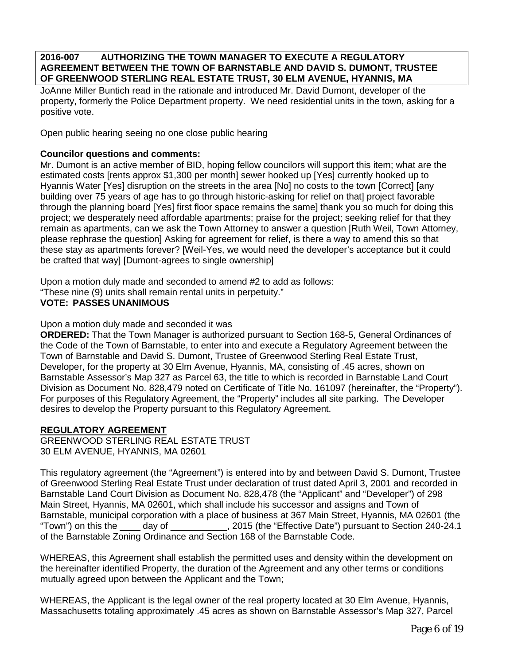**2016-007 AUTHORIZING THE TOWN MANAGER TO EXECUTE A REGULATORY AGREEMENT BETWEEN THE TOWN OF BARNSTABLE AND DAVID S. DUMONT, TRUSTEE OF GREENWOOD STERLING REAL ESTATE TRUST, 30 ELM AVENUE, HYANNIS, MA** 

JoAnne Miller Buntich read in the rationale and introduced Mr. David Dumont, developer of the property, formerly the Police Department property. We need residential units in the town, asking for a positive vote.

Open public hearing seeing no one close public hearing

## **Councilor questions and comments:**

Mr. Dumont is an active member of BID, hoping fellow councilors will support this item; what are the estimated costs [rents approx \$1,300 per month] sewer hooked up [Yes] currently hooked up to Hyannis Water [Yes] disruption on the streets in the area [No] no costs to the town [Correct] [any building over 75 years of age has to go through historic-asking for relief on that] project favorable through the planning board [Yes] first floor space remains the same] thank you so much for doing this project; we desperately need affordable apartments; praise for the project; seeking relief for that they remain as apartments, can we ask the Town Attorney to answer a question [Ruth Weil, Town Attorney, please rephrase the question] Asking for agreement for relief, is there a way to amend this so that these stay as apartments forever? [Weil-Yes, we would need the developer's acceptance but it could be crafted that way] [Dumont-agrees to single ownership]

Upon a motion duly made and seconded to amend #2 to add as follows:

"These nine (9) units shall remain rental units in perpetuity."

#### **VOTE: PASSES UNANIMOUS**

Upon a motion duly made and seconded it was

**ORDERED:** That the Town Manager is authorized pursuant to Section 168-5, General Ordinances of the Code of the Town of Barnstable, to enter into and execute a Regulatory Agreement between the Town of Barnstable and David S. Dumont, Trustee of Greenwood Sterling Real Estate Trust, Developer, for the property at 30 Elm Avenue, Hyannis, MA, consisting of .45 acres, shown on Barnstable Assessor's Map 327 as Parcel 63, the title to which is recorded in Barnstable Land Court Division as Document No. 828,479 noted on Certificate of Title No. 161097 (hereinafter, the "Property"). For purposes of this Regulatory Agreement, the "Property" includes all site parking. The Developer desires to develop the Property pursuant to this Regulatory Agreement.

#### **REGULATORY AGREEMENT**

GREENWOOD STERLING REAL ESTATE TRUST 30 ELM AVENUE, HYANNIS, MA 02601

This regulatory agreement (the "Agreement") is entered into by and between David S. Dumont, Trustee of Greenwood Sterling Real Estate Trust under declaration of trust dated April 3, 2001 and recorded in Barnstable Land Court Division as Document No. 828,478 (the "Applicant" and "Developer") of 298 Main Street, Hyannis, MA 02601, which shall include his successor and assigns and Town of Barnstable, municipal corporation with a place of business at 367 Main Street, Hyannis, MA 02601 (the "Town") on this the \_\_\_\_ day of \_\_\_\_\_\_\_\_\_\_\_, 2015 (the "Effective Date") pursuant to Section 240-24.1 of the Barnstable Zoning Ordinance and Section 168 of the Barnstable Code.

WHEREAS, this Agreement shall establish the permitted uses and density within the development on the hereinafter identified Property, the duration of the Agreement and any other terms or conditions mutually agreed upon between the Applicant and the Town;

WHEREAS, the Applicant is the legal owner of the real property located at 30 Elm Avenue, Hyannis, Massachusetts totaling approximately .45 acres as shown on Barnstable Assessor's Map 327, Parcel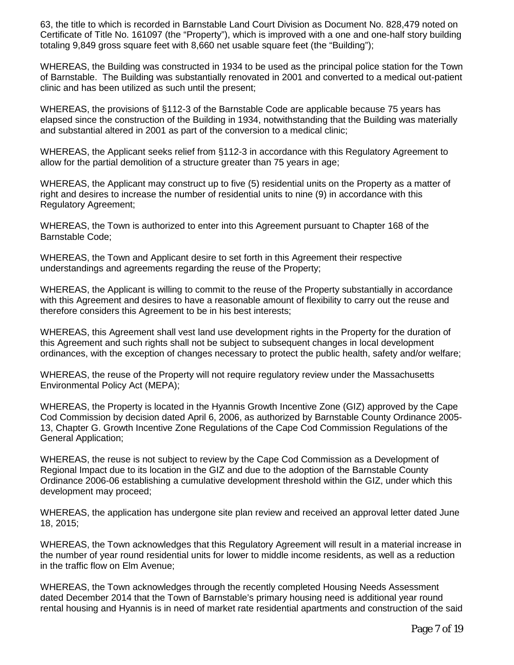63, the title to which is recorded in Barnstable Land Court Division as Document No. 828,479 noted on Certificate of Title No. 161097 (the "Property"), which is improved with a one and one-half story building totaling 9,849 gross square feet with 8,660 net usable square feet (the "Building");

WHEREAS, the Building was constructed in 1934 to be used as the principal police station for the Town of Barnstable. The Building was substantially renovated in 2001 and converted to a medical out-patient clinic and has been utilized as such until the present;

WHEREAS, the provisions of §112-3 of the Barnstable Code are applicable because 75 years has elapsed since the construction of the Building in 1934, notwithstanding that the Building was materially and substantial altered in 2001 as part of the conversion to a medical clinic;

WHEREAS, the Applicant seeks relief from §112-3 in accordance with this Regulatory Agreement to allow for the partial demolition of a structure greater than 75 years in age;

WHEREAS, the Applicant may construct up to five (5) residential units on the Property as a matter of right and desires to increase the number of residential units to nine (9) in accordance with this Regulatory Agreement;

WHEREAS, the Town is authorized to enter into this Agreement pursuant to Chapter 168 of the Barnstable Code;

WHEREAS, the Town and Applicant desire to set forth in this Agreement their respective understandings and agreements regarding the reuse of the Property;

WHEREAS, the Applicant is willing to commit to the reuse of the Property substantially in accordance with this Agreement and desires to have a reasonable amount of flexibility to carry out the reuse and therefore considers this Agreement to be in his best interests;

WHEREAS, this Agreement shall vest land use development rights in the Property for the duration of this Agreement and such rights shall not be subject to subsequent changes in local development ordinances, with the exception of changes necessary to protect the public health, safety and/or welfare;

WHEREAS, the reuse of the Property will not require regulatory review under the Massachusetts Environmental Policy Act (MEPA);

WHEREAS, the Property is located in the Hyannis Growth Incentive Zone (GIZ) approved by the Cape Cod Commission by decision dated April 6, 2006, as authorized by Barnstable County Ordinance 2005- 13, Chapter G. Growth Incentive Zone Regulations of the Cape Cod Commission Regulations of the General Application;

WHEREAS, the reuse is not subject to review by the Cape Cod Commission as a Development of Regional Impact due to its location in the GIZ and due to the adoption of the Barnstable County Ordinance 2006-06 establishing a cumulative development threshold within the GIZ, under which this development may proceed;

WHEREAS, the application has undergone site plan review and received an approval letter dated June 18, 2015;

WHEREAS, the Town acknowledges that this Regulatory Agreement will result in a material increase in the number of year round residential units for lower to middle income residents, as well as a reduction in the traffic flow on Elm Avenue;

WHEREAS, the Town acknowledges through the recently completed Housing Needs Assessment dated December 2014 that the Town of Barnstable's primary housing need is additional year round rental housing and Hyannis is in need of market rate residential apartments and construction of the said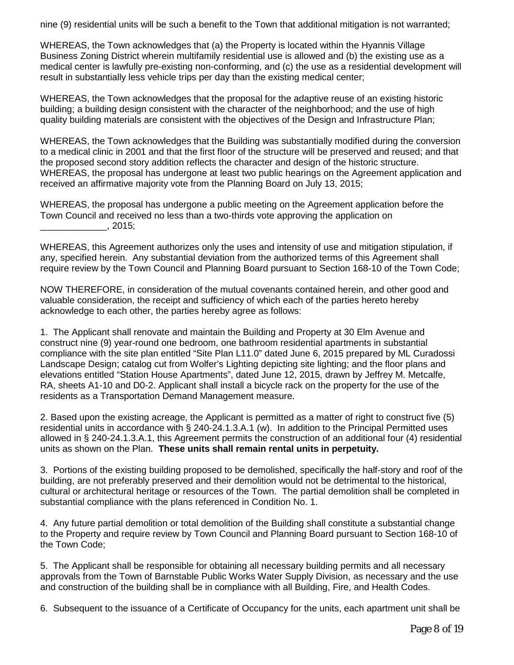nine (9) residential units will be such a benefit to the Town that additional mitigation is not warranted;

WHEREAS, the Town acknowledges that (a) the Property is located within the Hyannis Village Business Zoning District wherein multifamily residential use is allowed and (b) the existing use as a medical center is lawfully pre-existing non-conforming, and (c) the use as a residential development will result in substantially less vehicle trips per day than the existing medical center;

WHEREAS, the Town acknowledges that the proposal for the adaptive reuse of an existing historic building; a building design consistent with the character of the neighborhood; and the use of high quality building materials are consistent with the objectives of the Design and Infrastructure Plan;

WHEREAS, the Town acknowledges that the Building was substantially modified during the conversion to a medical clinic in 2001 and that the first floor of the structure will be preserved and reused; and that the proposed second story addition reflects the character and design of the historic structure. WHEREAS, the proposal has undergone at least two public hearings on the Agreement application and received an affirmative majority vote from the Planning Board on July 13, 2015;

WHEREAS, the proposal has undergone a public meeting on the Agreement application before the Town Council and received no less than a two-thirds vote approving the application on  $\frac{1}{2015}$ , 2015;

WHEREAS, this Agreement authorizes only the uses and intensity of use and mitigation stipulation, if any, specified herein. Any substantial deviation from the authorized terms of this Agreement shall require review by the Town Council and Planning Board pursuant to Section 168-10 of the Town Code;

NOW THEREFORE, in consideration of the mutual covenants contained herein, and other good and valuable consideration, the receipt and sufficiency of which each of the parties hereto hereby acknowledge to each other, the parties hereby agree as follows:

1. The Applicant shall renovate and maintain the Building and Property at 30 Elm Avenue and construct nine (9) year-round one bedroom, one bathroom residential apartments in substantial compliance with the site plan entitled "Site Plan L11.0" dated June 6, 2015 prepared by ML Curadossi Landscape Design; catalog cut from Wolfer's Lighting depicting site lighting; and the floor plans and elevations entitled "Station House Apartments", dated June 12, 2015, drawn by Jeffrey M. Metcalfe, RA, sheets A1-10 and D0-2. Applicant shall install a bicycle rack on the property for the use of the residents as a Transportation Demand Management measure.

2. Based upon the existing acreage, the Applicant is permitted as a matter of right to construct five (5) residential units in accordance with § 240-24.1.3.A.1 (w). In addition to the Principal Permitted uses allowed in § 240-24.1.3.A.1, this Agreement permits the construction of an additional four (4) residential units as shown on the Plan. **These units shall remain rental units in perpetuity.**

3. Portions of the existing building proposed to be demolished, specifically the half-story and roof of the building, are not preferably preserved and their demolition would not be detrimental to the historical, cultural or architectural heritage or resources of the Town. The partial demolition shall be completed in substantial compliance with the plans referenced in Condition No. 1.

4. Any future partial demolition or total demolition of the Building shall constitute a substantial change to the Property and require review by Town Council and Planning Board pursuant to Section 168-10 of the Town Code;

5. The Applicant shall be responsible for obtaining all necessary building permits and all necessary approvals from the Town of Barnstable Public Works Water Supply Division, as necessary and the use and construction of the building shall be in compliance with all Building, Fire, and Health Codes.

6. Subsequent to the issuance of a Certificate of Occupancy for the units, each apartment unit shall be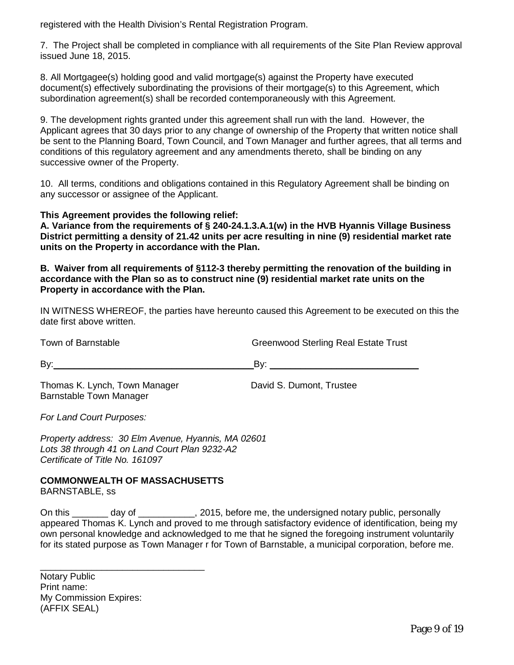registered with the Health Division's Rental Registration Program.

7. The Project shall be completed in compliance with all requirements of the Site Plan Review approval issued June 18, 2015.

8. All Mortgagee(s) holding good and valid mortgage(s) against the Property have executed document(s) effectively subordinating the provisions of their mortgage(s) to this Agreement, which subordination agreement(s) shall be recorded contemporaneously with this Agreement.

9. The development rights granted under this agreement shall run with the land. However, the Applicant agrees that 30 days prior to any change of ownership of the Property that written notice shall be sent to the Planning Board, Town Council, and Town Manager and further agrees, that all terms and conditions of this regulatory agreement and any amendments thereto, shall be binding on any successive owner of the Property.

10. All terms, conditions and obligations contained in this Regulatory Agreement shall be binding on any successor or assignee of the Applicant.

## **This Agreement provides the following relief:**

**A. Variance from the requirements of § 240-24.1.3.A.1(w) in the HVB Hyannis Village Business District permitting a density of 21.42 units per acre resulting in nine (9) residential market rate units on the Property in accordance with the Plan.** 

**B. Waiver from all requirements of §112-3 thereby permitting the renovation of the building in accordance with the Plan so as to construct nine (9) residential market rate units on the Property in accordance with the Plan.** 

IN WITNESS WHEREOF, the parties have hereunto caused this Agreement to be executed on this the date first above written.

Town of Barnstable Trust Creenwood Sterling Real Estate Trust By:\_\_\_\_\_\_\_\_\_\_\_\_\_\_\_\_\_\_\_\_\_\_\_\_\_\_\_\_\_\_\_\_\_\_\_\_\_\_\_By: \_\_\_\_\_\_\_\_\_\_\_\_\_\_\_\_\_\_\_\_\_\_\_\_\_\_\_\_\_ Thomas K. Lynch, Town Manager David S. Dumont, Trustee Barnstable Town Manager

*For Land Court Purposes:*

*Property address: 30 Elm Avenue, Hyannis, MA 02601 Lots 38 through 41 on Land Court Plan 9232-A2 Certificate of Title No. 161097*

## **COMMONWEALTH OF MASSACHUSETTS**

\_\_\_\_\_\_\_\_\_\_\_\_\_\_\_\_\_\_\_\_\_\_\_\_\_\_\_\_\_\_\_\_

BARNSTABLE, ss

On this \_\_\_\_\_\_\_ day of \_\_\_\_\_\_\_\_\_\_\_, 2015, before me, the undersigned notary public, personally appeared Thomas K. Lynch and proved to me through satisfactory evidence of identification, being my own personal knowledge and acknowledged to me that he signed the foregoing instrument voluntarily for its stated purpose as Town Manager r for Town of Barnstable, a municipal corporation, before me.

Notary Public Print name: My Commission Expires: (AFFIX SEAL)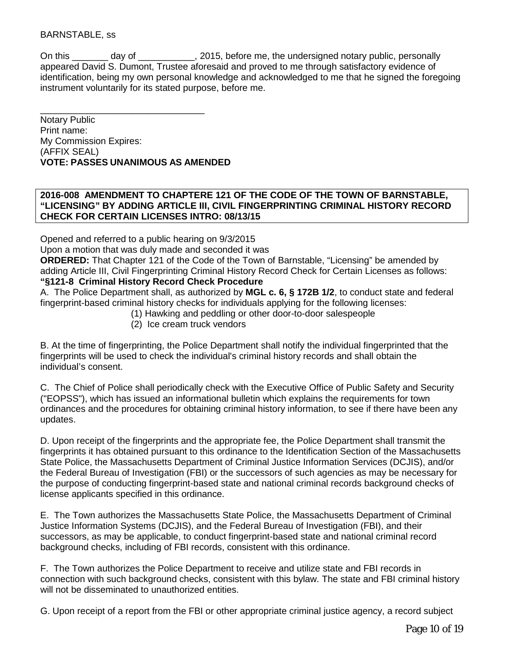## BARNSTABLE, ss

On this day of each controller particle personally controller personally controller personally appeared David S. Dumont, Trustee aforesaid and proved to me through satisfactory evidence of identification, being my own personal knowledge and acknowledged to me that he signed the foregoing instrument voluntarily for its stated purpose, before me.

\_\_\_\_\_\_\_\_\_\_\_\_\_\_\_\_\_\_\_\_\_\_\_\_\_\_\_\_\_\_\_\_ Notary Public Print name: My Commission Expires: (AFFIX SEAL) **VOTE: PASSES UNANIMOUS AS AMENDED**

#### **2016-008 AMENDMENT TO CHAPTERE 121 OF THE CODE OF THE TOWN OF BARNSTABLE, "LICENSING" BY ADDING ARTICLE III, CIVIL FINGERPRINTING CRIMINAL HISTORY RECORD CHECK FOR CERTAIN LICENSES INTRO: 08/13/15**

Opened and referred to a public hearing on 9/3/2015

Upon a motion that was duly made and seconded it was

**ORDERED:** That Chapter 121 of the Code of the Town of Barnstable, "Licensing" be amended by adding Article III, Civil Fingerprinting Criminal History Record Check for Certain Licenses as follows: **["§121-8](http://ecode360.com/print/NA0948?guid=27457021&children=true#27457022) Criminal History Record Check Procedure** 

[A.](http://ecode360.com/print/27457023#27457023) The Police Department shall, as authorized by **MGL c. 6, § 172B 1/2**, to conduct state and federal fingerprint-based criminal history checks for individuals applying for the following licenses:

- [\(1\)](http://ecode360.com/print/27457024#27457024) Hawking and peddling or other door-to-door salespeople
- [\(2\)](http://ecode360.com/print/27457025#27457025) Ice cream truck vendors

[B.](http://ecode360.com/print/27457031#27457031) At the time of fingerprinting, the Police Department shall notify the individual fingerprinted that the fingerprints will be used to check the individual's criminal history records and shall obtain the individual's consent.

C. The Chief of Police shall periodically check with the Executive Office of Public Safety and Security ("EOPSS"), which has issued an informational bulletin which explains the requirements for town ordinances and the procedures for obtaining criminal history information, to see if there have been any updates.

[D.](http://ecode360.com/print/27457032#27457032) Upon receipt of the fingerprints and the appropriate fee, the Police Department shall transmit the fingerprints it has obtained pursuant to this ordinance to the Identification Section of the Massachusetts State Police, the Massachusetts Department of Criminal Justice Information Services (DCJIS), and/or the Federal Bureau of Investigation (FBI) or the successors of such agencies as may be necessary for the purpose of conducting fingerprint-based state and national criminal records background checks of license applicants specified in this ordinance.

[E.](http://ecode360.com/print/27457033#27457033) The Town authorizes the Massachusetts State Police, the Massachusetts Department of Criminal Justice Information Systems (DCJIS), and the Federal Bureau of Investigation (FBI), and their successors, as may be applicable, to conduct fingerprint-based state and national criminal record background checks, including of FBI records, consistent with this ordinance.

F. The Town authorizes the Police Department to receive and utilize state and FBI records in connection with such background checks, consistent with this bylaw. The state and FBI criminal history will not be disseminated to unauthorized entities.

[G.](http://ecode360.com/print/27457034#27457034) Upon receipt of a report from the FBI or other appropriate criminal justice agency, a record subject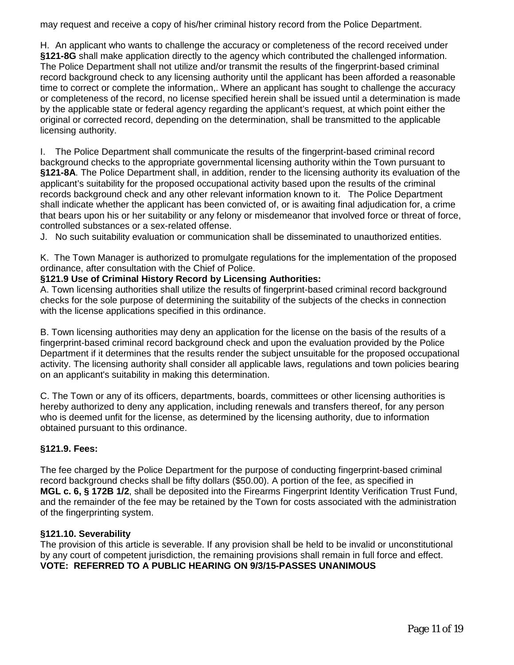may request and receive a copy of his/her criminal history record from the Police Department.

H. An applicant who wants to challenge the accuracy or completeness of the record received under **[§121-8G](http://ecode360.com/print/NA0948?guid=27457021&children=true#27457022)** shall make application directly to the agency which contributed the challenged information. The Police Department shall not utilize and/or transmit the results of the fingerprint-based criminal record background check to any licensing authority until the applicant has been afforded a reasonable time to correct or complete the information,. Where an applicant has sought to challenge the accuracy or completeness of the record, no license specified herein shall be issued until a determination is made by the applicable state or federal agency regarding the applicant's request, at which point either the original or corrected record, depending on the determination, shall be transmitted to the applicable licensing authorit[y.](http://ecode360.com/print/27457035#27457035)

I. The Police Department shall communicate the results of the fingerprint-based criminal record background checks to the appropriate governmental licensing authority within the Town pursuant to **[§121-8A](http://ecode360.com/print/NA0948?guid=27457021&children=true#27457022)**. The Police Department shall, in addition, render to the licensing authority its evaluation of the applicant's suitability for the proposed occupational activity based upon the results of the criminal records background check and any other relevant information known to it. The Police Department shall indicate whether the applicant has been convicted of, or is awaiting final adjudication for, a crime that bears upon his or her suitability or any felony or misdemeanor that involved force or threat of force, controlled substances or a sex-related offense.

J. No such suitability evaluation or communication shall be disseminated to unauthorized entities.

[K.](http://ecode360.com/print/27457036#27457036) The Town Manager is authorized to promulgate regulations for the implementation of the proposed ordinance, after consultation with the Chief of Police.

## **[§121.9 Use of Criminal History Record by Licensing Authorities:](http://ecode360.com/print/NA0948?guid=27457021&children=true#27457037)**

[A.](http://ecode360.com/print/27457038#27457038) Town licensing authorities shall utilize the results of fingerprint-based criminal record background checks for the sole purpose of determining the suitability of the subjects of the checks in connection with the license applications specified in this ordinance.

B. Town licensing authorities may deny an application for the license on the basis of the results of a fingerprint-based criminal record background check and upon the evaluation provided by the Police Department if it determines that the results render the subject unsuitable for the proposed occupational activity. The licensing authority shall consider all applicable laws, regulations and town policies bearing on an applicant's suitability in making this determination.

[C.](http://ecode360.com/print/27457039#27457039) The Town or any of its officers, departments, boards, committees or other licensing authorities is hereby authorized to deny any application, including renewals and transfers thereof, for any person who is deemed unfit for the license, as determined by the licensing authority, due to information obtained pursuant to this ordinance.

## **[§121.9. Fees:](http://ecode360.com/print/NA0948?guid=27457021&children=true#27457040)**

The fee charged by the Police Department for the purpose of conducting fingerprint-based criminal record background checks shall be fifty dollars (\$50.00). A portion of the fee, as specified in **MGL c. 6, § 172B 1/2**, shall be deposited into the Firearms Fingerprint Identity Verification Trust Fund, and the remainder of the fee may be retained by the Town for costs associated with the administration of the fingerprinting system.

## **[§121.10. Severability](http://ecode360.com/print/NA0948?guid=27457021&children=true#27457040)**

The provision of this article is severable. If any provision shall be held to be invalid or unconstitutional by any court of competent jurisdiction, the remaining provisions shall remain in full force and effect. **VOTE: REFERRED TO A PUBLIC HEARING ON 9/3/15-PASSES UNANIMOUS**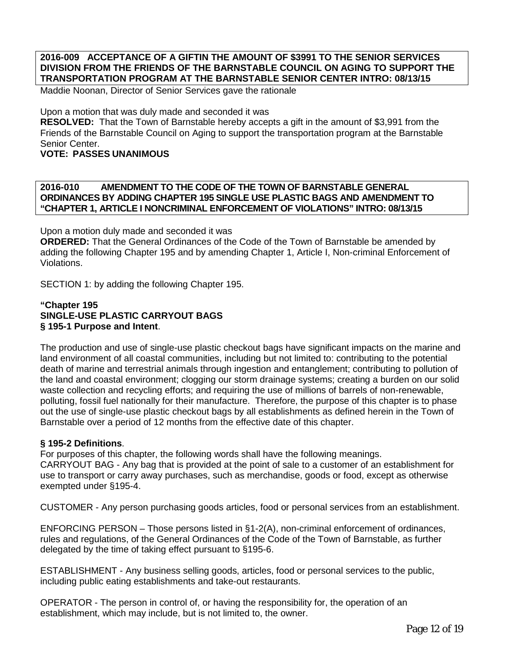#### **2016-009 ACCEPTANCE OF A GIFTIN THE AMOUNT OF \$3991 TO THE SENIOR SERVICES DIVISION FROM THE FRIENDS OF THE BARNSTABLE COUNCIL ON AGING TO SUPPORT THE TRANSPORTATION PROGRAM AT THE BARNSTABLE SENIOR CENTER INTRO: 08/13/15**

Maddie Noonan, Director of Senior Services gave the rationale

Upon a motion that was duly made and seconded it was **RESOLVED:** That the Town of Barnstable hereby accepts a gift in the amount of \$3,991 from the Friends of the Barnstable Council on Aging to support the transportation program at the Barnstable Senior Center.

#### **VOTE: PASSES UNANIMOUS**

## **2016-010 AMENDMENT TO THE CODE OF THE TOWN OF BARNSTABLE GENERAL ORDINANCES BY ADDING CHAPTER 195 SINGLE USE PLASTIC BAGS AND AMENDMENT TO "CHAPTER 1, ARTICLE I NONCRIMINAL ENFORCEMENT OF VIOLATIONS" INTRO: 08/13/15**

Upon a motion duly made and seconded it was

**ORDERED:** That the General Ordinances of the Code of the Town of Barnstable be amended by adding the following Chapter 195 and by amending Chapter 1, Article I, Non-criminal Enforcement of Violations.

SECTION 1: by adding the following Chapter 195.

#### **"Chapter 195 SINGLE-USE PLASTIC CARRYOUT BAGS § 195-1 Purpose and Intent**.

The production and use of single-use plastic checkout bags have significant impacts on the marine and land environment of all coastal communities, including but not limited to: contributing to the potential death of marine and terrestrial animals through ingestion and entanglement; contributing to pollution of the land and coastal environment; clogging our storm drainage systems; creating a burden on our solid waste collection and recycling efforts; and requiring the use of millions of barrels of non-renewable, polluting, fossil fuel nationally for their manufacture. Therefore, the purpose of this chapter is to phase out the use of single-use plastic checkout bags by all establishments as defined herein in the Town of Barnstable over a period of 12 months from the effective date of this chapter.

#### **§ 195-2 Definitions**.

For purposes of this chapter, the following words shall have the following meanings. CARRYOUT BAG - Any bag that is provided at the point of sale to a customer of an establishment for use to transport or carry away purchases, such as merchandise, goods or food, except as otherwise exempted under §195-4.

CUSTOMER - Any person purchasing goods articles, food or personal services from an establishment.

ENFORCING PERSON – Those persons listed in §1-2(A), non-criminal enforcement of ordinances, rules and regulations, of the General Ordinances of the Code of the Town of Barnstable, as further delegated by the time of taking effect pursuant to §195-6.

ESTABLISHMENT - Any business selling goods, articles, food or personal services to the public, including public eating establishments and take-out restaurants.

OPERATOR - The person in control of, or having the responsibility for, the operation of an establishment, which may include, but is not limited to, the owner.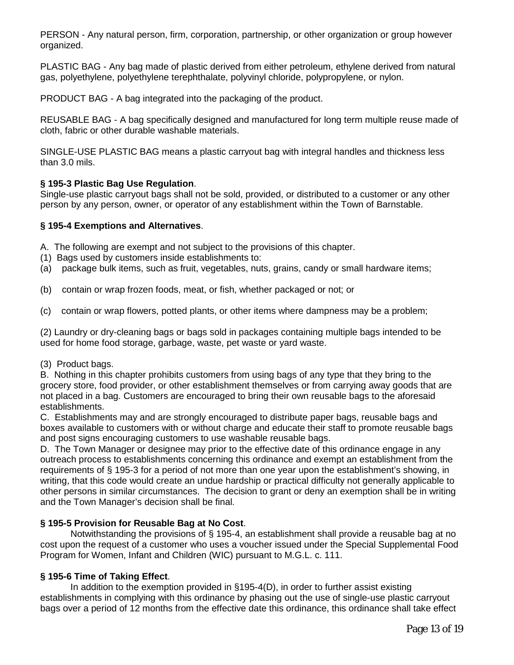PERSON - Any natural person, firm, corporation, partnership, or other organization or group however organized.

PLASTIC BAG - Any bag made of plastic derived from either petroleum, ethylene derived from natural gas, polyethylene, polyethylene terephthalate, polyvinyl chloride, polypropylene, or nylon.

PRODUCT BAG - A bag integrated into the packaging of the product.

REUSABLE BAG - A bag specifically designed and manufactured for long term multiple reuse made of cloth, fabric or other durable washable materials.

SINGLE-USE PLASTIC BAG means a plastic carryout bag with integral handles and thickness less than 3.0 mils.

## **§ 195-3 Plastic Bag Use Regulation**.

Single-use plastic carryout bags shall not be sold, provided, or distributed to a customer or any other person by any person, owner, or operator of any establishment within the Town of Barnstable.

## **§ 195-4 Exemptions and Alternatives**.

- A. The following are exempt and not subject to the provisions of this chapter.
- (1) Bags used by customers inside establishments to:
- (a) package bulk items, such as fruit, vegetables, nuts, grains, candy or small hardware items;
- (b) contain or wrap frozen foods, meat, or fish, whether packaged or not; or
- (c) contain or wrap flowers, potted plants, or other items where dampness may be a problem;

(2) Laundry or dry-cleaning bags or bags sold in packages containing multiple bags intended to be used for home food storage, garbage, waste, pet waste or yard waste.

(3) Product bags.

B. Nothing in this chapter prohibits customers from using bags of any type that they bring to the grocery store, food provider, or other establishment themselves or from carrying away goods that are not placed in a bag. Customers are encouraged to bring their own reusable bags to the aforesaid establishments.

C. Establishments may and are strongly encouraged to distribute paper bags, reusable bags and boxes available to customers with or without charge and educate their staff to promote reusable bags and post signs encouraging customers to use washable reusable bags.

D. The Town Manager or designee may prior to the effective date of this ordinance engage in any outreach process to establishments concerning this ordinance and exempt an establishment from the requirements of § 195-3 for a period of not more than one year upon the establishment's showing, in writing, that this code would create an undue hardship or practical difficulty not generally applicable to other persons in similar circumstances. The decision to grant or deny an exemption shall be in writing and the Town Manager's decision shall be final.

## **§ 195-5 Provision for Reusable Bag at No Cost**.

Notwithstanding the provisions of § 195-4, an establishment shall provide a reusable bag at no cost upon the request of a customer who uses a voucher issued under the Special Supplemental Food Program for Women, Infant and Children (WIC) pursuant to M.G.L. c. 111.

## **§ 195-6 Time of Taking Effect**.

In addition to the exemption provided in §195-4(D), in order to further assist existing establishments in complying with this ordinance by phasing out the use of single-use plastic carryout bags over a period of 12 months from the effective date this ordinance, this ordinance shall take effect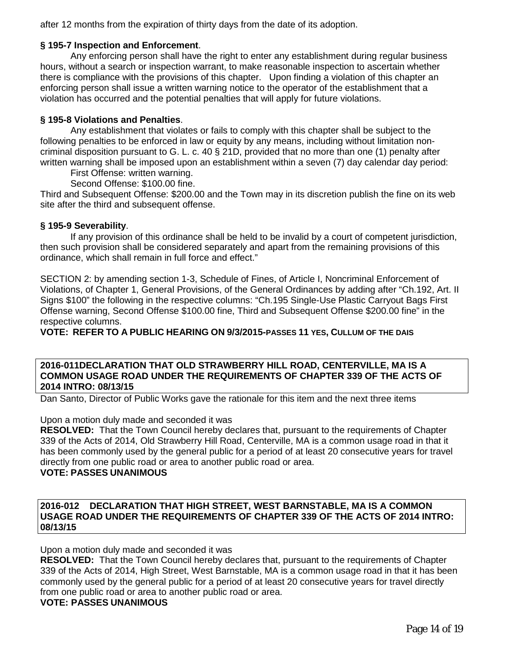after 12 months from the expiration of thirty days from the date of its adoption.

#### **§ 195-7 Inspection and Enforcement**.

Any enforcing person shall have the right to enter any establishment during regular business hours, without a search or inspection warrant, to make reasonable inspection to ascertain whether there is compliance with the provisions of this chapter. Upon finding a violation of this chapter an enforcing person shall issue a written warning notice to the operator of the establishment that a violation has occurred and the potential penalties that will apply for future violations.

#### **§ 195-8 Violations and Penalties**.

Any establishment that violates or fails to comply with this chapter shall be subject to the following penalties to be enforced in law or equity by any means, including without limitation noncriminal disposition pursuant to G. L. c. 40 § 21D, provided that no more than one (1) penalty after written warning shall be imposed upon an establishment within a seven (7) day calendar day period:

First Offense: written warning.

Second Offense: \$100.00 fine.

Third and Subsequent Offense: \$200.00 and the Town may in its discretion publish the fine on its web site after the third and subsequent offense.

#### **§ 195-9 Severability**.

If any provision of this ordinance shall be held to be invalid by a court of competent jurisdiction, then such provision shall be considered separately and apart from the remaining provisions of this ordinance, which shall remain in full force and effect."

SECTION 2: by amending section 1-3, Schedule of Fines, of Article I, Noncriminal Enforcement of Violations, of Chapter 1, General Provisions, of the General Ordinances by adding after "Ch.192, Art. II Signs \$100" the following in the respective columns: "Ch.195 Single-Use Plastic Carryout Bags First Offense warning, Second Offense \$100.00 fine, Third and Subsequent Offense \$200.00 fine" in the respective columns.

**VOTE: REFER TO A PUBLIC HEARING ON 9/3/2015-PASSES 11 YES, CULLUM OF THE DAIS**

#### **2016-011DECLARATION THAT OLD STRAWBERRY HILL ROAD, CENTERVILLE, MA IS A COMMON USAGE ROAD UNDER THE REQUIREMENTS OF CHAPTER 339 OF THE ACTS OF 2014 INTRO: 08/13/15**

Dan Santo, Director of Public Works gave the rationale for this item and the next three items

#### Upon a motion duly made and seconded it was

**RESOLVED:** That the Town Council hereby declares that, pursuant to the requirements of Chapter 339 of the Acts of 2014, Old Strawberry Hill Road, Centerville, MA is a common usage road in that it has been commonly used by the general public for a period of at least 20 consecutive years for travel directly from one public road or area to another public road or area.

## **VOTE: PASSES UNANIMOUS**

#### **2016-012 DECLARATION THAT HIGH STREET, WEST BARNSTABLE, MA IS A COMMON USAGE ROAD UNDER THE REQUIREMENTS OF CHAPTER 339 OF THE ACTS OF 2014 INTRO: 08/13/15**

Upon a motion duly made and seconded it was

**RESOLVED:** That the Town Council hereby declares that, pursuant to the requirements of Chapter 339 of the Acts of 2014, High Street, West Barnstable, MA is a common usage road in that it has been commonly used by the general public for a period of at least 20 consecutive years for travel directly from one public road or area to another public road or area.

#### **VOTE: PASSES UNANIMOUS**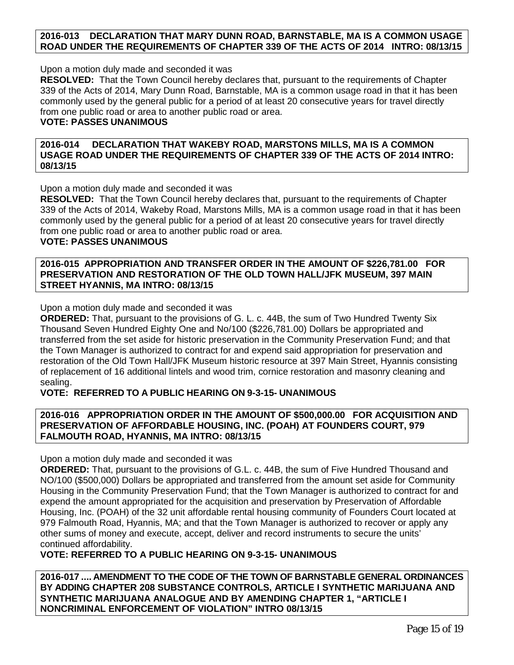## **2016-013 DECLARATION THAT MARY DUNN ROAD, BARNSTABLE, MA IS A COMMON USAGE ROAD UNDER THE REQUIREMENTS OF CHAPTER 339 OF THE ACTS OF 2014 INTRO: 08/13/15**

Upon a motion duly made and seconded it was

**RESOLVED:** That the Town Council hereby declares that, pursuant to the requirements of Chapter 339 of the Acts of 2014, Mary Dunn Road, Barnstable, MA is a common usage road in that it has been commonly used by the general public for a period of at least 20 consecutive years for travel directly from one public road or area to another public road or area.

## **VOTE: PASSES UNANIMOUS**

**2016-014 DECLARATION THAT WAKEBY ROAD, MARSTONS MILLS, MA IS A COMMON USAGE ROAD UNDER THE REQUIREMENTS OF CHAPTER 339 OF THE ACTS OF 2014 INTRO: 08/13/15**

Upon a motion duly made and seconded it was

**RESOLVED:** That the Town Council hereby declares that, pursuant to the requirements of Chapter 339 of the Acts of 2014, Wakeby Road, Marstons Mills, MA is a common usage road in that it has been commonly used by the general public for a period of at least 20 consecutive years for travel directly from one public road or area to another public road or area.

## **VOTE: PASSES UNANIMOUS**

**2016-015 APPROPRIATION AND TRANSFER ORDER IN THE AMOUNT OF \$226,781.00 FOR PRESERVATION AND RESTORATION OF THE OLD TOWN HALL/JFK MUSEUM, 397 MAIN STREET HYANNIS, MA INTRO: 08/13/15**

Upon a motion duly made and seconded it was

**ORDERED:** That, pursuant to the provisions of G. L. c. 44B, the sum of Two Hundred Twenty Six Thousand Seven Hundred Eighty One and No/100 (\$226,781.00) Dollars be appropriated and transferred from the set aside for historic preservation in the Community Preservation Fund; and that the Town Manager is authorized to contract for and expend said appropriation for preservation and restoration of the Old Town Hall/JFK Museum historic resource at 397 Main Street, Hyannis consisting of replacement of 16 additional lintels and wood trim, cornice restoration and masonry cleaning and sealing.

## **VOTE: REFERRED TO A PUBLIC HEARING ON 9-3-15- UNANIMOUS**

## **2016-016 APPROPRIATION ORDER IN THE AMOUNT OF \$500,000.00 FOR ACQUISITION AND PRESERVATION OF AFFORDABLE HOUSING, INC. (POAH) AT FOUNDERS COURT, 979 FALMOUTH ROAD, HYANNIS, MA INTRO: 08/13/15**

Upon a motion duly made and seconded it was

**ORDERED:** That, pursuant to the provisions of G.L. c. 44B, the sum of Five Hundred Thousand and NO/100 (\$500,000) Dollars be appropriated and transferred from the amount set aside for Community Housing in the Community Preservation Fund; that the Town Manager is authorized to contract for and expend the amount appropriated for the acquisition and preservation by Preservation of Affordable Housing, Inc. (POAH) of the 32 unit affordable rental housing community of Founders Court located at 979 Falmouth Road, Hyannis, MA; and that the Town Manager is authorized to recover or apply any other sums of money and execute, accept, deliver and record instruments to secure the units' continued affordability.

**VOTE: REFERRED TO A PUBLIC HEARING ON 9-3-15- UNANIMOUS**

**2016-017 .... AMENDMENT TO THE CODE OF THE TOWN OF BARNSTABLE GENERAL ORDINANCES BY ADDING CHAPTER 208 SUBSTANCE CONTROLS, ARTICLE I SYNTHETIC MARIJUANA AND SYNTHETIC MARIJUANA ANALOGUE AND BY AMENDING CHAPTER 1, "ARTICLE I NONCRIMINAL ENFORCEMENT OF VIOLATION" INTRO 08/13/15**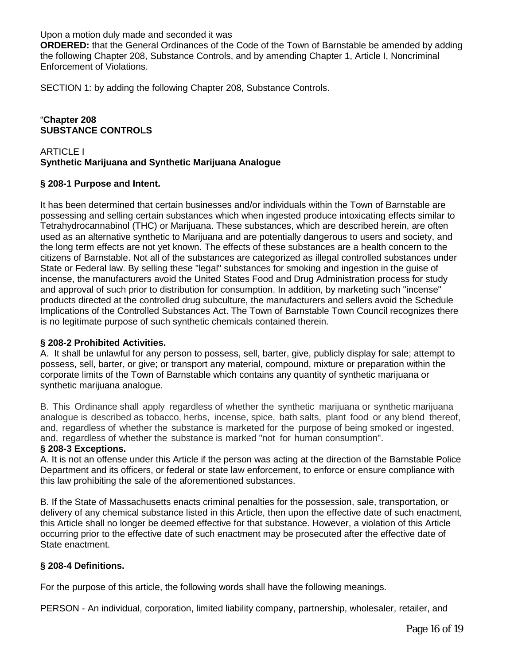Upon a motion duly made and seconded it was

**ORDERED:** that the General Ordinances of the Code of the Town of Barnstable be amended by adding the following Chapter 208, Substance Controls, and by amending Chapter 1, Article I, Noncriminal Enforcement of Violations.

SECTION 1: by adding the following Chapter 208, Substance Controls.

## "**Chapter 208 SUBSTANCE CONTROLS**

## ARTICLE I **Synthetic Marijuana and Synthetic Marijuana Analogue**

## **§ 208-1 Purpose and Intent.**

It has been determined that certain businesses and/or individuals within the Town of Barnstable are possessing and selling certain substances which when ingested produce intoxicating effects similar to Tetrahydrocannabinol (THC) or Marijuana. These substances, which are described herein, are often used as an alternative synthetic to Marijuana and are potentially dangerous to users and society, and the long term effects are not yet known. The effects of these substances are a health concern to the citizens of Barnstable. Not all of the substances are categorized as illegal controlled substances under State or Federal law. By selling these "legal" substances for smoking and ingestion in the guise of incense, the manufacturers avoid the United States Food and Drug Administration process for study and approval of such prior to distribution for consumption. In addition, by marketing such "incense" products directed at the controlled drug subculture, the manufacturers and sellers avoid the Schedule Implications of the Controlled Substances Act. The Town of Barnstable Town Council recognizes there is no legitimate purpose of such synthetic chemicals contained therein.

## **§ 208-2 Prohibited Activities.**

A. It shall be unlawful for any person to possess, sell, barter, give, publicly display for sale; attempt to possess, sell, barter, or give; or transport any material, compound, mixture or preparation within the corporate limits of the Town of Barnstable which contains any quantity of synthetic marijuana or synthetic marijuana analogue.

B. This Ordinance shall apply regardless of whether the synthetic marijuana or synthetic marijuana analogue is described as tobacco, herbs, incense, spice, bath salts, plant food or any blend thereof, and, regardless of whether the substance is marketed for the purpose of being smoked or ingested, and, regardless of whether the substance is marked "not for human consumption".

## **§ 208-3 Exceptions.**

A. It is not an offense under this Article if the person was acting at the direction of the Barnstable Police Department and its officers, or federal or state law enforcement, to enforce or ensure compliance with this law prohibiting the sale of the aforementioned substances.

B. If the State of Massachusetts enacts criminal penalties for the possession, sale, transportation, or delivery of any chemical substance listed in this Article, then upon the effective date of such enactment, this Article shall no longer be deemed effective for that substance. However, a violation of this Article occurring prior to the effective date of such enactment may be prosecuted after the effective date of State enactment.

## **§ 208-4 Definitions.**

For the purpose of this article, the following words shall have the following meanings.

PERSON - An individual, corporation, limited liability company, partnership, wholesaler, retailer, and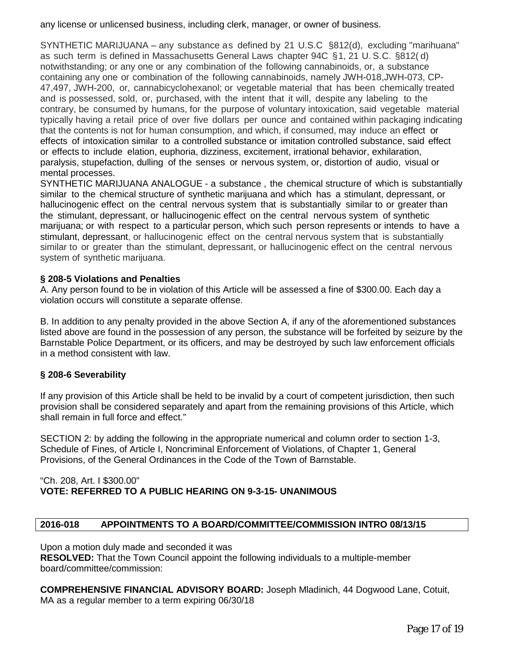any license or unlicensed business, including clerk, manager, or owner of business.

SYNTHETIC MARIJUANA – any substance as defined by 21 U.S.C §812(d), excluding "marihuana" as such term is defined in Massachusetts General Laws chapter 94C §1, 21 U. S.C. §812( d) notwithstanding; or any one or any combination of the following cannabinoids, or, a substance containing any one or combination of the following cannabinoids, namely JWH-018,JWH-073, CP-47,497, JWH-200, or, cannabicyclohexanol; or vegetable material that has been chemically treated and is possessed, sold, or, purchased, with the intent that it will, despite any labeling to the contrary, be consumed by humans, for the purpose of voluntary intoxication, said vegetable material typically having a retail price of over five dollars per ounce and contained within packaging indicating that the contents is not for human consumption, and which, if consumed, may induce-an effect or effects of intoxication similar to a controlled substance or imitation controlled substance, said effect or effects to include elation, euphoria, dizziness, excitement, irrational behavior, exhilaration, paralysis, stupefaction, dulling of the senses or nervous system, or, distortion of audio, visual or mental processes.

SYNTHETIC MARIJUANA ANALOGUE - a substance , the chemical structure of which is substantially similar to the chemical structure of synthetic marijuana and which has a stimulant, depressant, or hallucinogenic effect on the central nervous system that is substantially similar to or greater than the stimulant, depressant, or hallucinogenic effect on the central nervous system of synthetic marijuana; or with respect to a particular person, which such person represents or intends to have a stimulant, depressant, or hallucinogenic effect on the central nervous system that is substantially similar to or greater than the stimulant, depressant, or hallucinogenic effect on the central nervous system of synthetic marijuana.

## **§ 208-5 Violations and Penalties**

A. Any person found to be in violation of this Article will be assessed a fine of \$300.00. Each day a violation occurs will constitute a separate offense.

B. In addition to any penalty provided in the above Section A, if any of the aforementioned substances listed above are found in the possession of any person, the substance will be forfeited by seizure by the Barnstable Police Department, or its officers, and may be destroyed by such law enforcement officials in a method consistent with law.

## **§ 208-6 Severability**

If any provision of this Article shall be held to be invalid by a court of competent jurisdiction, then such provision shall be considered separately and apart from the remaining provisions of this Article, which shall remain in full force and effect."

SECTION 2: by adding the following in the appropriate numerical and column order to section 1-3, Schedule of Fines, of Article I, Noncriminal Enforcement of Violations, of Chapter 1, General Provisions, of the General Ordinances in the Code of the Town of Barnstable.

#### "Ch. 208, Art. I \$300.00" **VOTE: REFERRED TO A PUBLIC HEARING ON 9-3-15- UNANIMOUS**

## **2016-018 APPOINTMENTS TO A BOARD/COMMITTEE/COMMISSION INTRO 08/13/15**

Upon a motion duly made and seconded it was **RESOLVED:** That the Town Council appoint the following individuals to a multiple-member board/committee/commission:

**COMPREHENSIVE FINANCIAL ADVISORY BOARD:** Joseph Mladinich, 44 Dogwood Lane, Cotuit, MA as a regular member to a term expiring 06/30/18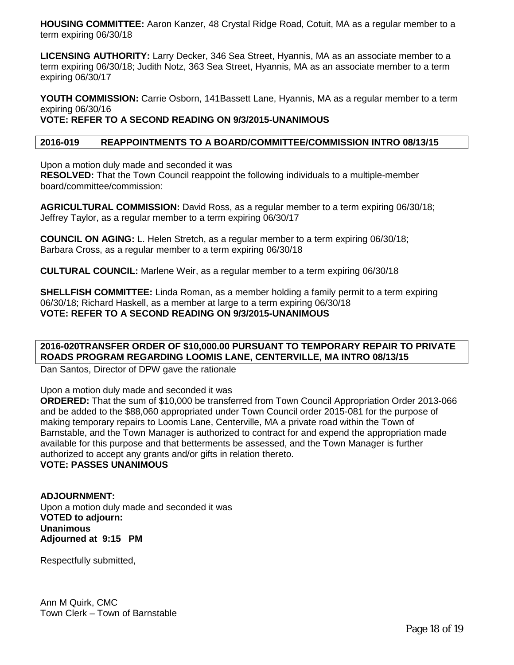**HOUSING COMMITTEE:** Aaron Kanzer, 48 Crystal Ridge Road, Cotuit, MA as a regular member to a term expiring 06/30/18

**LICENSING AUTHORITY:** Larry Decker, 346 Sea Street, Hyannis, MA as an associate member to a term expiring 06/30/18; Judith Notz, 363 Sea Street, Hyannis, MA as an associate member to a term expiring 06/30/17

**YOUTH COMMISSION:** Carrie Osborn, 141Bassett Lane, Hyannis, MA as a regular member to a term expiring 06/30/16 **VOTE: REFER TO A SECOND READING ON 9/3/2015-UNANIMOUS**

#### **2016-019 REAPPOINTMENTS TO A BOARD/COMMITTEE/COMMISSION INTRO 08/13/15**

Upon a motion duly made and seconded it was

**RESOLVED:** That the Town Council reappoint the following individuals to a multiple-member board/committee/commission:

**AGRICULTURAL COMMISSION:** David Ross, as a regular member to a term expiring 06/30/18; Jeffrey Taylor, as a regular member to a term expiring 06/30/17

**COUNCIL ON AGING:** L. Helen Stretch, as a regular member to a term expiring 06/30/18; Barbara Cross, as a regular member to a term expiring 06/30/18

**CULTURAL COUNCIL:** Marlene Weir, as a regular member to a term expiring 06/30/18

**SHELLFISH COMMITTEE:** Linda Roman, as a member holding a family permit to a term expiring 06/30/18; Richard Haskell, as a member at large to a term expiring 06/30/18 **VOTE: REFER TO A SECOND READING ON 9/3/2015-UNANIMOUS**

## **2016-020TRANSFER ORDER OF \$10,000.00 PURSUANT TO TEMPORARY REPAIR TO PRIVATE ROADS PROGRAM REGARDING LOOMIS LANE, CENTERVILLE, MA INTRO 08/13/15**

Dan Santos, Director of DPW gave the rationale

Upon a motion duly made and seconded it was

**ORDERED:** That the sum of \$10,000 be transferred from Town Council Appropriation Order 2013-066 and be added to the \$88,060 appropriated under Town Council order 2015-081 for the purpose of making temporary repairs to Loomis Lane, Centerville, MA a private road within the Town of Barnstable, and the Town Manager is authorized to contract for and expend the appropriation made available for this purpose and that betterments be assessed, and the Town Manager is further authorized to accept any grants and/or gifts in relation thereto.

**VOTE: PASSES UNANIMOUS**

**ADJOURNMENT:** Upon a motion duly made and seconded it was **VOTED to adjourn: Unanimous Adjourned at 9:15 PM**

Respectfully submitted,

Ann M Quirk, CMC Town Clerk – Town of Barnstable